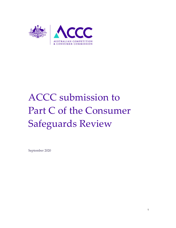

# ACCC submission to Part C of the Consumer Safeguards Review

September 2020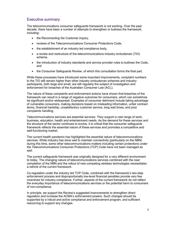# Executive summary

The telecommunications consumer safeguards framework is not working. Over the past decade, there have been a number of attempts to strengthen or buttress the framework, including:

- the Reconnecting the Customer inquiry,
- reviews of the Telecommunications Consumer Protections Code,
- the establishment of an industry led compliance body,
- a review and restructure of the telecommunications industry ombudsman (TIO) scheme,
- the introduction of industry standards and service provider rules to buttress the Code, and
- the Consumer Safeguards Review, of which this consultation forms the final part.

While these processes have introduced some important improvements, complaint numbers to the TIO still remain higher than other industry ombudsman schemes and industry participants, both large and small, are still regularly the subject of investigation and enforcement for breaches of the Australian Consumer Law (ACL).

The nature of these complaints and enforcement actions have shown that breaches of the framework can result in a range of negative outcomes for consumers, which can sometimes be significant and/or widespread. Examples of consumer detriment include taking advantage of vulnerable consumers, making decisions based on misleading information, unfair contract terms, financial hardship, unsatisfactory customer service, long wait times, and poor complaints handling.

Telecommunications services are essential services. They support a vast range of work, business, education, health and entertainment needs. As the demand for these services and the structure of the sector continues to evolve, it is critical that the consumer safeguards framework reflects the essential nature of these services and promotes a competitive and well-functioning market.

The current health pandemic has highlighted the essential nature of telecommunications services. While industry has done well to maintain connectivity (particularly on the NBN) during this time, some other telecommunications matters including certain protections under the Telecommunications Consumer Protections (TCP) Code have not been managed as well.

The current safeguards framework was originally designed for a very different environment to today. The changing nature of telecommunications services combined with the near completion of the NBN and the rollout of new competing wireless technologies necessitates a rethink of the current framework.

Co-regulation under the industry led TCP Code, combined with the framework's two-step enforcement process and disproportionally low-level financial penalties provide very few incentives for industry compliance. Further, aspects of the current framework do not reflect the everyday importance of telecommunications services or the potential harm to consumers of non-compliance.

In principle, we support the Review's suggested improvements to strengthen direct regulation and increase the ACMA's enforcement powers. Such changes should be supported by a robust and active compliance and enforcement program, and sufficient resourcing to support any changes.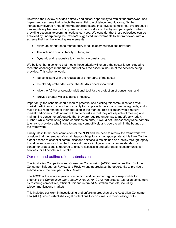However, the Review provides a timely and critical opportunity to rethink the framework and implement a scheme that reflects the essential role of telecommunications, fits the increasingly diverse range of market participants and incentivises compliance. We propose a new regulatory framework to impose minimum conditions of entry and participation when providing essential telecommunications services. We consider that these objectives can be achieved by underpinning the Review's suggested improvements to the framework with a scheme that has the following key elements:

- Minimum standards to market entry for all telecommunications providers
- The inclusion of a 'suitability' criteria, and
- Dynamic and responsive to changing circumstances.

We believe that a scheme that meets these criteria will ensure the sector is well placed to meet the challenges in the future, and reflects the essential nature of the services being provided. This scheme would:

- be consistent with the regulation of other parts of the sector
- be already embedded within the ACMA's operational work
- give the ACMA a valuable additional tool for the protection of consumers, and
- provide greater visibility across industry.

Importantly, the scheme should require potential and existing telecommunications retail market participants to show their capacity to comply with basic consumer safeguards, and to make this a requirement of their operation in the market. This obligation would require market participants to do no more than demonstrate that they are capable of meeting and maintaining consumer safeguards that they are required under law to meet/apply today. Further, while establishing some conditions on entry, it would not unreasonably raise barriers to entry to providers who intend to engage competitively and operate within the bounds of the framework.

Finally, despite the near completion of the NBN and the need to rethink the framework, we consider that the removal of certain legacy obligations is not appropriate at this time. To the extent access to essential communications services is maintained as a policy through legacy fixed-line services (such as the Universal Service Obligation), a minimum standard of consumer protections is required to ensure accessible and affordable telecommunication services for all people in Australia.

# Our role and outline of our submission

The Australian Competition and Consumer Commission (ACCC) welcomes Part C of the Consumer Safeguards Review (the Review) and appreciates the opportunity to provide a submission to the final part of this Review.

The ACCC is the economy-wide competition and consumer regulator responsible for enforcing the Competition and Consumer Act 2010 (CCA). We protect Australian consumers by fostering competitive, efficient, fair and informed Australian markets, including telecommunications markets.

This includes our work in investigating and enforcing breaches of the Australian Consumer Law (ACL), which establishes legal protections for consumers in their dealings with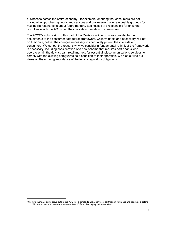businesses across the entire economy, $1$  for example, ensuring that consumers are not misled when purchasing goods and services and businesses have reasonable grounds for making representations about future matters. Businesses are responsible for ensuring compliance with the ACL when they provide information to consumers.

The ACCC's submission to this part of the Review outlines why we consider further adjustments to the consumer safeguards framework, while valuable and necessary, will not on their own, deliver the changes necessary to adequately protect the interests of consumers. We set out the reasons why we consider a fundamental rethink of the framework is necessary, including consideration of a new scheme that requires participants who operate within the downstream retail markets for essential telecommunications services to comply with the existing safeguards as a condition of their operation. We also outline our views on the ongoing importance of the legacy regulatory obligations.

<sup>&</sup>lt;sup>1</sup> We note there are some carve outs to the ACL. For example, financial services, contracts of insurance and goods sold before 2011 are not covered by consumer guarantees. Different laws apply to these matters.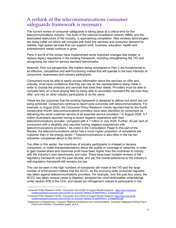# A rethink of the telecommunications consumer safeguards framework is necessary

The current review of consumer safeguards is taking place at a critical time for the telecommunications industry. The build of the national broadband network (NBN) and the associated restructure of the industry, is approaching completion. New wireless technologies are being rolled out which will compete with fixed line services and consumer demand for reliable, high speed services that can support work, business, education, health and entertainment needs continue to grow.

Parts A and B of the review have implemented some important changes that bolster or replace legacy regulations in the existing framework, including strengthening the TIO and recognising the need for service standard benchmarks.

However, from our perspective, the matters being considered in Part C are fundamental to an effective, competitive and well-functioning market that will operate in the best interests of consumers, businesses and industry participants.

Consumers must be able to easily access information about the services on offer and, critically, must have confidence that they can rely on the representations being made in order to choose the products and services that meet their needs. Providers must be able to compete fairly on a level playing field by being able to accurately represent the services they offer, and rely on other industry participants to do the same.

These are the outcomes that the existing framework is designed to deliver but which are not being achieved. Consumers continue to report poor outcomes with telecommunications. For example, in August 2020, the Consumer Policy Research Centre reported that for the fourth consecutive month, telecommunications providers have been identified by consumers as delivering the worst customer service of all essential service providers.<sup>2</sup> In August 2020, 5.7 million Australians reported having a recent negative experience with their telecommunications provider, compared with 4.1 million in July 2020. Further, 43 per cent of consumers with a disability also reported having negative experiences with telecommunications providers.<sup>3</sup> As noted in the Consultation Paper to this part of the Review, the telecommunications sector has a much higher proportion of complaints per customer than in the energy sector.<sup>4</sup> Telecommunications is also often in the top ten industries complained about to the ACCC.

Too often in this sector, the incentives of industry participants to mislead or deceive consumers, or make misrepresentations about the quality or coverage of networks, in order to gain market share and maximise profit have been higher than the incentives to comply with the industry's own benchmarks and rules. There have been multiple reviews of the regulatory framework over the past decade, and yet, the overall adherence to the industry's self-regulatory framework still remains too low.

This can be seen in the high numbers of complaints still made to the TIO and the large number of enforcement matters that the ACCC, as the economy-wide consumer regulator, has taken against telecommunications providers. For example, over the past four years, the ACCC has taken several cases to litigation, accepted ten court-enforceable undertakings under section 87B of the CCA, and issued six infringement notices to participants in the

<sup>&</sup>lt;sup>2</sup> Consumer Policy Research Centre, *Consumers and COVID-19 August Results Snapshot,* https://cprc.org.au/wpcontent/uploads/Consumers-and-COVID-19\_AUGUST-RESULTS-SNAPSHOT\_21Sept2020.pdf

<sup>&</sup>lt;sup>3</sup> Consumer Policy Research Centre, *Consumers and COVID-19 August Results Snapshot,* <u>https://cprc.org.au/wp-</u> content/uploads/Consumers-and-COVID-19\_AUGUST-RESULTS-SNAPSHOT\_21Sept2020.pdf

<sup>4</sup> Department of Infrastructure, Transport, Regional Development and Communications. Consumer Safeguards Review Part C Choice and Fairness: Consultation paper, pp.8-9.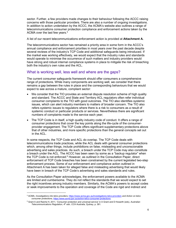sector. Further, a few providers made changes to their behaviour following the ACCC raising concerns with those particular providers. There are also a number of ongoing investigations. In addition to action undertaken by the ACCC, the ACMA's website also outlines a range of telecommunications consumer protection compliance and enforcement actions taken by the ACMA over the last few years.<sup>5</sup>

A list of our recent telecommunications enforcement action is provided at Attachment A.

The telecommunications sector has remained a priority area in some form in the ACCC's annual compliance and enforcement priorities in most years over the past decade despite several reviews of the industry's TCP Code and additional safeguards being introduced. If the market was working effectively, we would expect that the industry rules and standards would operate to minimise the occurrence of such matters and industry providers would have strong and robust internal compliance systems in place to mitigate the risk of breaching both the industry's own rules and the ACL.

# What is working well, less well and where are the gaps?

The current consumer safeguards framework should offer consumers a comprehensive range of protections. While many components are working well, we consider that there remains a gap between the rules in place and the corresponding behaviours that we would expect to see across a mature, compliant sector:

- We consider that the TIO provides an external dispute resolution scheme of high quality and standard. The ACCC and State and Territory ACL regulators often refer individual consumer complaints to the TIO with good outcomes. The TIO also identifies systemic issues, which can alert industry members to matters of broader concern. The TIO also refers systemic issues to regulators where there is a risk to consumers as a result of systemic conduct or particular products or services. Nevertheless there are significant numbers of complaints made to the service each year;
- The TCP Code is in itself, a high quality industry code of conduct. It offers a range of consumer protections that cover the key points along the life-cycle of the consumerprovider engagement. The TCP Code offers significant supplementary protections above that of other industries, and more specific protections than the general concepts set out in the ACL.

In some respects, the TCP Code and ACL do overlap. The TCP Code deals with telecommunications trade practices, while the ACL deals with general consumer protections which, among other things, include prohibitions on false, misleading and unconscionable advertising and sales practices. As such, a breach under the TCP Code may also constitute a breach under the ACL. The ACCC has been seen by some as a "backup regulator" when the TCP Code is not enforced. $^6$  However, as outlined in the Consultation Paper, direct enforcement of TCP Code breaches has been constrained by the current legislated two-step enforcement process. Some of our enforcement and compliance action outlined in Attachment A has been taken for alleged false and misleading advertising that would likely have been in breach of the TCP Code's advertising and sales standards and rules.

As the Consultation Paper acknowledges, the enforcement powers available to the ACMA are limited and cumbersome. They do not reflect the standards that we would expect to set the right incentives among industry members. Similarly, the ACMA's powers to accept codes or seek improvements to the operation and coverage of the Code are rigid and indirect and

<sup>&</sup>lt;sup>5</sup> ACMA, Investigations into telco providers, https://www.acma.gov.au/investigations-telco-providers and Action on telco consumer protections, https://www.acma.gov.au/action-telco-consumer-protections.

 $^6$  Grant A and Raiche H, 2011, 'Consumer protection and universal service' in A Grant and D Howarth (eds), *Australian* Telecommunications Regulation, 4<sup>th</sup> edn, CCH Australia, Sydney, p. 361.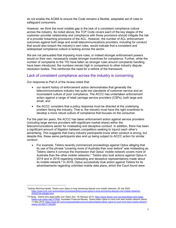do not enable the ACMA to ensure the Code remains a flexible, adaptable set of rules to safeguard consumers.

However, we think the most notable gap is the lack of a consistent compliance culture across the industry. As noted above, the TCP Code covers each of the key stages of the customer–provider relationship and compliance with those provisions should mitigate the risk of a provider breaching provisions of the ACL. However, the number of ACL enforcement outcomes against both large and small telecommunications providers, including for conduct that would also breach the industry's own rules, would indicate that a consistent and widespread compliance culture is lacking across the sector.

We are not persuaded that imposing more rules, or indeed stronger enforcement powers would on their own, necessarily create stronger incentives for compliance. Further, while the number of complaints to the TIO have fallen as stronger rules around complaints handling have been introduced, the numbers remain high in comparison to other industry dispute resolution bodies. This reinforces the need for a rethink of the framework.

# Lack of consistent compliance across the industry is concerning

Our response to Part A of the review noted that:

-

- our recent history of enforcement action demonstrates that generally the telecommunications industry has quite low standards of customer service and an inconsistent culture of poor compliance. The ACCC has undertaken enforcement action against a range of retail carriage service providers (CSPs), both large and small, and
- the ACCC considers that a policy response must be directed at the underlying problem facing the industry. That is, the industry must have the right incentives to develop a more robust culture of compliance that focuses on the consumer.

For the past ten years, the ACCC has taken enforcement action against service providers (including large service providers with significant market share) within the telecommunications sector for misleading and deceptive conduct. In addition, there has been a significant amount of litigation between competitors seeking to injunct each other's advertising. This suggests that many industry participants know when conduct is wrong, but despite this, these same participants also end up being subject to ACCC action for similar conduct.

 For example, Telstra recently commenced proceedings against Optus alleging that its use of the phrase "covering more of Australia than ever before" was misleading as Telstra claims it conveys the impression that Optus' mobile network covers more of Australia than the other mobile networks. $\frac{7}{1}$  Telstra also took actions against Optus in 2014 and in 2018 regarding misleading and deceptive representations made about its mobile network.<sup>8</sup> In 2018, Optus successfully took action against Telstra for its advertisements regarding unlimited mobile data plans, which the Court found were

<sup>&</sup>lt;sup>7</sup> Sydney Morning Herald, *Telstra sues Optus in long simmering dispute over mobile networks, 28 July 2020:* https://www.smh.com.au/business/companies/telstra-sues-optus-in-long-simmering-dispute-over-mobile-networks-20200728-p55g6d.html.

<sup>&</sup>lt;sup>8</sup> IT News, *Telstra wins legal battle over Optus Ads*, 18 February 2014: https://www.itnews.com.au/news/telstra-wins-legalbattle-over-optus-ads-372659. Australian Financial Review, Telstra takes Optus to court over best mobile network claims, 11 May 2018: https://www.afr.com/companies/telecommunications/telstra-takes-optus-to-court-over-best-mobile-networkclaims-20180511-h0zy64.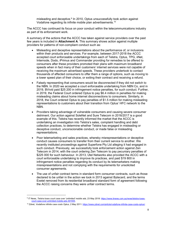misleading and deceptive.<sup>9</sup> In 2010, Optus unsuccessfully took action against Vodafone regarding its infinite mobile plan advertisements.<sup>10</sup>

The ACCC has continued its focus on poor conduct within the telecommunications industry as part of its enforcement work.

A summary of the actions that the ACCC has taken against service providers over the past few years is included in **Attachment A**. This summary shows action against multiple providers for patterns of non-compliant conduct such as:

- Misleading and deceptive representations about the performance of, or inclusions within their products and services. For example, between 2017-2018 the ACCC accepted court enforceable undertakings from each of Telstra, Optus, TPG, iiNet, Internode, Dodo, iPrimus and Commander providing for remedies to be offered to consumers after these providers promoted their plans with maximum broadband speeds when in fact many of their customers' internet services were not capable of receiving the maximum advertised speeds. These providers undertook to contact thousands of affected consumers to offer them a range of options, such as moving to a lower speed plan of their choice, or exiting their contract and receiving a refund.
- Falsely representing that consumers would be disconnected if they did not switch to the NBN. In 2020 we accepted a court enforceable undertaking from NBN Co, and in 2019, BVivid paid \$25 200 in infringement notice penalties, for such conduct. Further, in 2019, the Federal Court ordered Optus to pay \$6.4 million in penalties for making misleading claims about home internet disconnections to consumers. Similarly, in 2018, the Court ordered Optus to pay penalties of \$1.5 million for making misleading representations to customers about their transition from Optus' HFC network to the NBN.
- Providers taking advantage of vulnerable consumers and causing severe consumer detriment. Our action against SoleNet and Sure Telecom in 2016/2017 is a good example of this. Telstra has recently informed the market that the ACCC is undertaking an investigation into Telstra's sales, complaint handling and debt collection practices, to determine whether Telstra has engaged in misleading or deceptive conduct, unconscionable conduct, or made false or misleading representations.
- Poor telemarketing and sales practices, whereby misrepresentations or deceptive conduct causes consumers to transfer from their current service to another. We recently instituted proceedings against Superfone Pty Ltd alleging it had engaged in such conduct. Previously, we successfully took enforcement action against Zen Telecom in 2014, with the court ordering Zen Telecom to pay pecuniary penalties of \$225 000 for such behaviour. In 2013, Utel Networks also provided the ACCC with a court enforceable undertaking to improve its practices, and paid \$19 800 in infringement notice penalties regarding its conduct by its telemarketers making misrepresentations and not complying with the requirements for unsolicited consumer agreements.
- The use of unfair contract terms in standard form consumer contracts, such as those declared to be unfair in the action we took in 2013 against Bytecard, and the terms Exetel removed from its residential broadband standard form of agreement following the ACCC raising concerns they were unfair contract terms.

<sup>&</sup>lt;sup>9</sup> IT News, *Telstra loses court case over 'unlimited' mobile ads,* 23 May 2018: <u>https://www.itnews.com.au/news/telstra-loses-</u> court-case-over-unlimited-mobile-ads-491555.

<sup>&</sup>lt;sup>10</sup> Zdnet, Vodafone infinite case costs Optus, 2 May 2011: https://www.zdnet.com/article/vodafone-infinite-case-costs-optus/.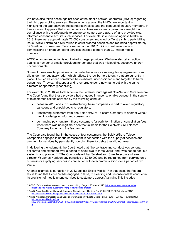We have also taken action against each of the mobile network operators (MNOs) regarding their third party billing services. These actions against the MNOs are important in highlighting the gap between the standards in place and the conduct of industry members. In these cases, it appears that commercial incentives were clearly given more weight than compliance with the safeguards to ensure consumers were aware of, and provided clear, informed consent to acquire such services. For example, in our action against Telstra in 2018, there were approximately 72 000 consumers impacted by Telstra's third party billing issue. While Telstra paid \$10 million in court ordered penalties and refunded approximately \$9.3 million to consumers, Telstra earned about \$61.7 million in net revenue from commissions on premium billing services charged to more than 2.7 million mobile numbers.<sup>11</sup>

ACCC enforcement action is not limited to larger providers. We have also taken action against a number of smaller providers for conduct that was misleading, deceptive and/or unconscionable.

Some of these smaller providers act outside the industry's self-regulatory regime and can slip under the regulatory radar, which reflects the low barriers to entry that are currently in place. Their conduct can sometimes be deliberate, unconscionable and targeted to harm consumers. They can disappear and re-emerge under a new name but with the same directors or operators (phoenixing).

For example, in 2016 we took action in the Federal Court against SoleNet and SureTelecom. The Court found that these providers had engaged in unconscionable conduct in the supply of telecommunications services by the following conduct:

- between 2013 and 2015, restructuring these companies in part to avoid regulatory sanctions and unpaid debts to regulators,
- transferring customers from one SoleNet/Sure Telecom Company to another without their knowledge or informed consent, and
- demanding payment from these customers for early termination or cancellation fees, when there was no legitimate contractual basis for the SoleNet/Sure Telecom Company to demand the fee payment.

The Court also found that in the cases of four customers, the SoleNet/Sure Telecom Companies engaged in undue harassment in connection with the supply of services and payment for services by persistently pursuing them for debts they did not owe.

In delivering the judgment, the Court noted that "the contravening conduct was serious, deliberate and extended over a period of about two to three years" and "was not ad hoc, but systemic and planned."<sup>12</sup> The Court ordered that SoleNet and Sure Telecom and sole director Mr James Harrison pay penalties of \$250 000 and be restrained from carrying on a business or supplying services in connection with telecommunications for a period of two years.

Another example is our action in 2013 against Excite Mobile.<sup>13</sup> In that case, the Federal Court found that Excite Mobile engaged in false, misleading and unconscionable conduct in its provision of mobile phone services to customers across Australia. This included

<sup>&</sup>lt;sup>11</sup> ACCC, Telstra misled customers over premium billing charges, 26 March 2018, https://www.accc.gov.au/mediarelease/telstra-misled-customers-over-premium-billing-charges.

<sup>&</sup>lt;sup>12</sup> Austlii, Australian Competition and Consumer Commission v Harrison (No 2) [2017] FCA 182 (2 March 2017) http://www.austlii.edu.au/cgi-bin/viewdoc/au/cases/cth/FCA/2017/182.html.

<sup>13</sup> Austlii, Australian Competition and Consumer Commission v Excite Mobile Pty Ltd [2013] FCA 350 (18 April 2013) http://www.austlii.edu.au/cgibin/viewdoc/au/cases/cth/FCA/2013/350.html?context=1;query=Excite%20Mobile%20ACCC;mask\_path=au/cases/cth/FC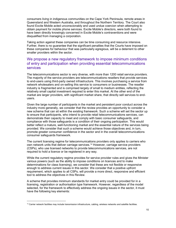consumers living in indigenous communities on the Cape York Peninsula, remote areas in Queensland and Western Australia, and throughout the Northern Territory. The Court also found Excite Mobile acted unconscionably and used undue coercion when attempting to obtain payment for mobile phone services. Excite Mobile's directors, were both found to have been directly knowingly concerned in Excite Mobile's contraventions and were disqualified from managing a corporation.

Taking action against these companies can be time consuming and resource intensive. Further, there is no guarantee that the significant penalties that the Courts have imposed on these companies for behaviour that was particularly egregious, will be a deterrent to other smaller providers within the sector.

# We propose a new regulatory framework to impose minimum conditions of entry and participation when providing essential telecommunications services

The telecommunications sector is very diverse, with more than 1200 retail service providers. The majority of the service providers are telecommunications resellers that provide services to end-users using third-party owned infrastructure. This involves purchasing a service from network wholesalers and on-selling this service to consumers or businesses. The reseller industry is fragmented and is comprised largely of small to medium entities, reflecting the relatively small capital investment required to enter this market. At the other end of the market are larger providers, with significant market share, that directly sell services to endusers.

Given the large number of participants in the market and persistent poor conduct across the industry more generally, we consider that the review provides an opportunity to consider a new scheme that can sit within the existing framework. Such a scheme will set the sector up to ensure that participants, who intend to provide retail telecommunications services, can demonstrate their capacity to meet and comply with basic consumer safeguards, and compliance with those safeguards is a condition of their ongoing participation. This would better reflect a mature, well-functioning market and the essential nature of the services being provided. We consider that such a scheme would achieve those objectives and, in turn, promote greater consumer confidence in the sector and in the overall telecommunications consumer safeguards framework.

The current licensing regime for telecommunications providers only applies to carriers who own network units that deliver carriage services.<sup>14</sup> However, carriage service providers (CSPs), who use licensed networks to provide telecommunications services, are not required to hold a licence or be registered in any way.

While the current regulatory regime provides for service provider rules and gives the Minister various powers (such as the ability to impose conditions on licences and to make determinations for class licensing), we consider that these are not flexible or responsive enough to address current issues in this sector. We consider that a positive upfront requirement, which applies to all CSPs, will provide a more direct, responsive and efficient tool to address the objectives in this Review.

A scheme that provides minimum standards for market entry could be provided for in a licensing, registration or authorisation type framework. However, regardless of the model selected, for the framework to effectively address the ongoing issues in the sector, it must have the following key elements:

<sup>&</sup>lt;sup>14</sup> Carrier network facilities may include transmission infrastructure, cabling, wireless networks and satellite facilities.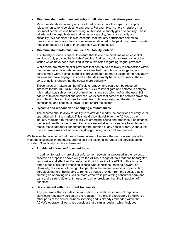#### Minimum standards to market entry for all telecommunications providers

Minimum standards to entry ensure all participants have the capacity to supply telecommunications services to end-users. For example, in energy, retailers must first meet certain criteria before being 'authorised' to supply gas or electricity. These criteria include organisational and technical capacity, financial capacity and suitability. We consider it is also essential that industry participants commit to meeting any financial orders or compensation directed to be paid by external dispute resolution bodies as part of their operation within the sector.

### Minimum standards must include a 'suitability' criteria

A suitability criterion is critical to ensure that telecommunications as an essential service is only provided by 'suitable' entitles. Further, it could address some of the issues which have been identified in this submission regarding 'rogue' providers.

While there are many smaller providers that contribute positively to competition within the market, as outlined above, we have identified through our investigation and enforcement work, a small number of providers that operate outside of the regulatory purview and have engaged in conduct that deliberately harms consumers. These sorts of actions undermine the sector more generally.

These types of matters can be difficult to remedy, and can often be resource intensive for the TIO, ACMA and/or the ACCC to investigate and enforce. If entry to this market was subject to a set of minimum standards which reflect the essential nature of telecommunications services, we expect that some of the smaller providers who intend to breach the rules to maximise profit, may weigh up the risk of noncompliance, and choose to leave (or not enter) the sector.

#### Dynamic and responsive to changing circumstances

The scheme should allow for ability to review and modify the conditions of entry to, or operation within, the market. This should allow flexibility for the ACMA, as the industry regulator, to respond quickly to emerging issues and breaches. For instance, the recent health pandemic required some essential industry sectors to implement measures to safeguard consumers for the duration of any health orders. Without this, the framework may not achieve the stronger safeguards that are needed.

We believe that a scheme that meets these criteria will ensure the sector is well placed to meet the challenges in the future, and reflects the essential nature of the services being provided. Specifically, such a scheme will:

# Provide additional enforcement tools

In addition to having more direct enforcement powers as proposed in the review, a scheme as proposed above will give the ACMA a range of tools that can be targeted, responsive and effective. For instance, it could provide the ACMA with a broader range of tools including imposing licence-type conditions, banning powers, or, ultimately, revocation of the right to operate in the market in serious or particularly egregious matters. Being able to remove a rogue provider from the sector, that is creating an operating risk, will be more effective in preventing consumer harm and can send a strong deterrent message to other providers than the imposition of penalties.

#### Be consistent with the current framework

Any framework that includes the imposition of conditions should not impose a significant regulatory burden on the regulator. The existing regulatory framework of other parts of the sector includes licensing and is already embedded within the ACMA's operational work. We consider that a similar design, which includes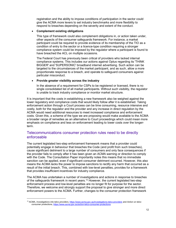registration and the ability to impose conditions of participation in the sector could give the ACMA more levers to set industry benchmarks and more flexibility to respond to breaches depending on the severity and extent of the conduct.

#### Complement existing obligations

This type of framework could also complement obligations in, or action taken under, other aspects of the consumer safeguards framework. For instance, a market participant could be required to provide evidence of its membership of the TIO as a condition of entry to the sector or a licence-type condition requiring a stronger compliance system could be imposed by the regulator where a participant is found to have breached the ACL on multiple occasions.

The Federal Court has previously been critical of providers who lacked internal compliance systems. This includes our actions against Optus regarding its 'THINK BIGGER' and 'SUPERSONIC' broadband internet advertising. Such action can be targeted to the circumstances of the market participant, and as such, allow a more proportionate response to a breach, and operate to safeguard consumers against particular misconduct.

#### Provide greater visibility across the industry

In the absence of a requirement for CSPs to be registered or licensed, there is no single consolidated list of all market participants. Without such visibility, the regulator is unable to track industry compliance or monitor market structure.

It is important that the costs in establishing a new framework also be weighed against the lower regulatory and compliance costs that would likely follow after it is established. Taking enforcement action through a Court process can be time consuming, resource intensive and costly, both for the regulator and the provider and any increase in direct regulation by the ACMA would need additional resources to meet increased compliance and enforcement costs. Given this, a scheme of the type we are proposing would make available to the ACMA a broader range of remedies as an alternative to Court proceedings which could mean more emphasis on compliance and less on enforcement leading to lower costs over the longerterm.

# Telecommunications consumer protection rules need to be directly enforceable

The current legislated two-step enforcement framework means that a provider could potentially engage in behaviour that breaches the Code (and profit from such breaches), cause significant detriment to a large number of consumers and only face consequences if the provider fails to comply after it has been given an ACMA warning or direction to comply with the Code. The Consultation Paper importantly notes this means that no immediate sanction can be applied, even if significant consumer detriment occurred. However, this also means the ACMA lacks the power to impose sanctions to rectify any harm that occurred as a result of the initial breach. This, combined with low-level penalties, provides for a framework that provides insufficient incentives for industry compliance.

The ACMA has undertaken a number of investigations and actions in response to breaches of the safeguards framework in recent years.<sup>15</sup> However, the current legislated two-step enforcement process and low-level penalties are no longer fit for purpose for the sector. Therefore, we welcome and strongly support the proposal to give stronger and more direct enforcement powers to the ACMA. Further, changes to the consumer protection framework

<sup>&</sup>lt;sup>15</sup> ACMA, Investigations into telco providers, https://www.acma.gov.au/investigations-telco-providers and Action on telco consumer protections, https://www.acma.gov.au/action-telco-consumer-protections.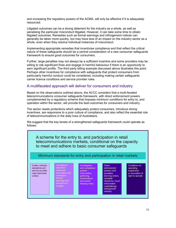and increasing the regulatory powers of the ACMA, will only be effective if it is adequately resourced.

Litigated outcomes can be a strong deterrent for the industry as a whole, as well as penalising the particular misconduct litigated. However, it can take some time to obtain litigated outcomes. Remedies such as formal warnings and infringement notices can generally be taken more quickly, but may have less of an impact on the industry sector as a whole, even when they resolve individual instances of misconduct.

Implementing appropriate remedies that incentivise compliance and that reflect the critical nature of these safeguards should be a central consideration of a new consumer safeguards framework to ensure good outcomes for consumers.

Further, large penalties may not always be a sufficient incentive and some providers may be willing to risk significant fines and engage in harmful behaviour if there is an opportunity to earn significant profits. The third party billing example discussed above illustrates this point. Perhaps other incentives for compliance with safeguards that protect consumers from particularly harmful conduct could be considered, including making certain safeguards carrier licence conditions and service provider rules.

# A multifaceted approach will deliver for consumers and industry

Based on the observations outlined above, the ACCC considers that a multi-faceted telecommunications consumer safeguards framework, with direct enforcement powers complemented by a regulatory scheme that imposes minimum conditions for entry to, and operation within the sector, will provide the best outcomes for consumers and industry.

The sector needs protections which adequately protect consumers, introduce strong incentives, are responsive to a poor culture of compliance, and also reflect the essential role of telecommunications in the daily lives of Australians.

We suggest that the key tenets of a strengthened safeguards framework could operate as follows:

A scheme for the entry to, and participation in retail telecommunications markets, conditional on the capacity to meet and adhere to basic consumer safeguards

Minimum standards for entry and participation in retail markets

Codes, industry standards and service provider rules (technical codes)

Compliance education. consumer information and campaigns (formal warnings and directions to

Investigation and compliance powers (information gathering, examinations and record keeping rules)

enforcement nowers (civil penalties, banning orders, remedial directions, Court enforceable undertakings, **infringement** notices)

**Direct** 

Conditions on operating, suspension or revocation of right to operate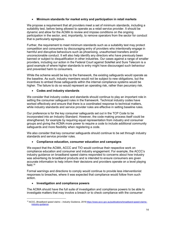# Minimum standards for market entry and participation in retail markets

We propose a requirement that all providers meet a set of minimum standards, including a suitability test, before being allowed to operate as a retail service provider. It should be dynamic and allow for the ACMA to review and impose conditions on the ongoing participation in the sector, and, importantly, to remove operators from the sector for conduct that is particularly egregious.

Further, the requirement to meet minimum standards such as a suitability test may protect competition and consumers by discouraging entry of providers who intentionally engage in harmful and disruptive behaviours such as phoenixing, unauthorised transfers and/or unconscionable conduct. It will also help identify any directors who have previously been banned or subject to disqualification in other industries. Our cases against a range of smaller providers, including our action in the Federal Court against SoleNet and Sure Telecom is a good example of where higher standards to entry might have discouraged such behaviour and prevented harm to consumers.

While the scheme would be key to the framework, the existing safeguards would operate as the baseline. As such, industry members would not be subject to new obligations, but the incentives to embed those safeguards within the internal compliance systems would be higher. The failure to do so would represent an operating risk, rather than pecuniary risk.

# Codes and industry standards

We consider that industry codes and standards should continue to play an important role in setting the consumer safeguard rules in the framework. Technical industry codes have worked effectively and ensure that there is a coordinated response to technical matters, while industry standards and service provider rules are effective in setting baseline rules.

Our preference is for the key consumer safeguards set out in the TCP Code to be incorporated into an Industry Standard. However, the code making process itself could be strengthened, for example by requiring equal representation from industry and consumer groups and giving the ACMA more power to require a code to include additional community safeguards and more flexibility when registering a code.

We also consider that key consumer safeguards should continue to be set through industry standards and service provider rules.

# Compliance education, consumer education and campaigns

We expect that the ACMA, ACCC and TIO would continue their respective work on compliance education and consumer and industry engagement. For example, the ACCC's industry guidance on broadband speed claims responded to concerns about how industry was advertising its broadband products and is intended to ensure consumers are given accurate information to help inform their decisions and providers operate on a level playing field.<sup>16</sup>

Formal warnings and directions to comply would continue to provide less interventionist responses to breaches, where it was expected that compliance would follow from such action.

# • Investigation and compliance powers

-

The ACMA should have the full suite of investigation and compliance powers to be able to investigate matters that may involve a breach or to check compliance with the consumer

<sup>&</sup>lt;sup>16</sup> ACCC, Broadband speed claims - Industry Guidance, 2019 https://www.accc.gov.au/publications/broadband-speed-claimsindustry-guidance.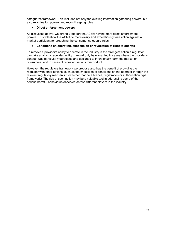safeguards framework. This includes not only the existing information gathering powers, but also examination powers and record keeping rules.

# Direct enforcement powers

As discussed above, we strongly support the ACMA having more direct enforcement powers. This will allow the ACMA to more easily and expeditiously take action against a market participant for breaching the consumer safeguard rules.

# Conditions on operating, suspension or revocation of right to operate

To remove a provider's ability to operate in the industry is the strongest action a regulator can take against a regulated entity. It would only be warranted in cases where the provider's conduct was particularly egregious and designed to intentionally harm the market or consumers, and in cases of repeated serious misconduct.

However, the regulatory framework we propose also has the benefit of providing the regulator with other options, such as the imposition of conditions on the operator through the relevant regulatory mechanism (whether that be a licence, registration or authorisation type framework). The risk of such action may be a valuable tool in addressing some of the serious harmful behaviours observed across different players in the industry.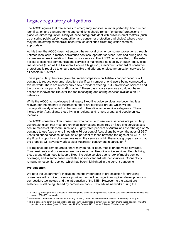# Legacy regulatory obligations

The ACCC agrees that free access to emergency services, number portability, line number identification and standard terms and conditions should remain "enduring" protections in place via direct regulation. Many of these safeguards deal with public interest matters (such as ensuring public safety, competition and consumer protection and choice) where there may not be strong commercial incentives, so continued direct regulation remains appropriate.

At this time, the ACCC does not support the removal of other consumer protections through untimed local calls, directory assistance services, operator services, itemised billing and low income measures in relation to fixed voice services. The ACCC considers that, to the extent access to essential communications services is maintained as a policy through legacy fixedline services (such as the Universal Service Obligation), a minimum standard of consumer protections is required to ensure accessible and affordable telecommunication services for all people in Australia.

This is particularly the case given that retail competition on Telstra's copper network will continue to reduce over time, despite a significant number of end-users being connected to this network. There are already only a few providers offering PSTN fixed voice services and the pricing is not particularly affordable.<sup>17</sup> These basic voice services also do not have access to innovations like over-the-top messaging and calling services available on IP networks.

While the ACCC acknowledges that legacy fixed-line voice services are becoming less relevant for the majority of Australians, there are particular groups which will be disproportionately affected by the removal of fixed-line voice service safeguards. These include older Australians, those living in regional and remote areas, and people on low incomes.

The ACCC considers older consumers who continue to use voice services are particularly vulnerable, given that most are on fixed incomes and many rely on fixed-line services as a secure means of telecommunications. Eighty-three per cent of Australians over the age of 75 continue to use fixed phone-lines while 76 per cent of Australians between the ages of 66-74 use fixed phone services, as well as 66 per cent of those between the ages of 55-64.<sup>18</sup> The significant proportions of consumers using the services within these age groups means that the proposal will adversely affect older Australian consumers in particular.<sup>19</sup>

For regional and remote areas, there may be no, or poor, mobile phone voice coverage. Thus, residents and businesses are more reliant on fixed-line voice services. People living in these areas often need to keep a fixed-line voice service due to lack of mobile service coverage, and in some cases unreliable or sub-standard internet solutions. Connectivity remains an essential service, which has been highlighted in the current pandemic.

#### Pre-selection

-

We note the Department's indication that the importance of pre-selection for providing consumers with choice of service provider has declined significantly given developments in competition, technology and the introduction of the NBN. However, to the extent preselection is still being utilised by carriers on non-NBN fixed-line networks during the

<sup>17</sup> As noted by the Department, standalone fixed line phone plans featuring unlimited national calls to landlines and mobiles cost around \$50–\$60 per month.

<sup>&</sup>lt;sup>18</sup> Australian Communications and Media Authority (ACMA), Communications Report 2018-2019, February 2020, p.73.

<sup>&</sup>lt;sup>19</sup> This is concerning given that the relative old age (65+) poverty rate is almost twice as high among those aged 65+ than the population as a whole (over 23.7% vs over 12.4%). Source: TIO, Quarter 3 Report 2019-20, May 2020.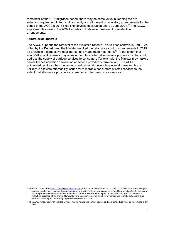remainder of the NBN migration period, there may be some value in keeping the preselection requirement in terms of continuity and alignment of regulatory arrangements for the period of the ACCC's 2018 fixed line services declaration until 30 June 2024.<sup>20</sup> The ACCC expressed this view to the ACMA in relation to its recent review of pre-selection arrangements.

#### Telstra price controls

-

The ACCC supports the removal of the Minister's reserve Telstra price controls in Part 9. As noted by the Department, the Minister revoked the retail price control arrangements in 2015 as growth in a competitive retail market had made them redundant.<sup>21</sup> To the extent that equity/affordability issues may arise in the future, alternative reserve powers exist that could address the supply of carriage services to consumers (for example, the Minister may make a carrier licence condition declaration or service provider determination). The ACCC acknowledges it also has the power to set prices at the wholesale level, however this is unlikely to alleviate affordability issues for vulnerable consumers of retail services to the extent that alternative providers choose not to offer basic voice services.

<sup>&</sup>lt;sup>20</sup> The ACCC's declared fixed originating access service (FOAS) is an access service provided on a call that is made with preselection, and is used to allow the connection of fixed voice calls between consumers on different networks. To the extent that the pre-selection requirement is removed, a carrier may decide not to provide pre-selection, which could have an impact on utilisation of the FOAS. Removal of pre-selection removes the ability of consumers to make calls using their preferred service provider through a pre-selection override code.

<sup>&</sup>lt;sup>21</sup> The ACCC notes, however, that the Minister retains retail price control powers and can reintroduce retail price controls at any time.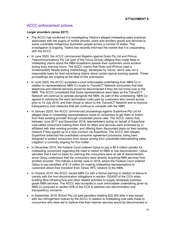# ACCC enforcement actions

### Larger providers (since 2017)

- The ACCC has confirmed it is investigating Telstra's alleged misleading sales practices associated with the supply of mobile phones, plans and ancillary goods and services to some vulnerable Indigenous Australian people across a number of states. This investigation is ongoing. Telstra has recently informed the market that it is cooperating with the ACCC.
- In June 2020, the ACCC commenced litigation against Dodo Pty Ltd and Primus Telecommunications Pty Ltd (part of the Vocus Group) alleging they made false or misleading claims about the NBN broadband speeds their customers could achieve during busy evening hours. The ACCC claims that Dodo and iPrimus used a fundamentally flawed testing methodology, developed by Vocus, which was not a reasonable basis for their advertising claims about certain typical evening speeds. These proceedings are ongoing at the date of this submission.
- In June 2020, the ACCC accepted a court enforceable undertaking from NBN Co in relation to representations NBN Co made to TransACT Network consumers that their telephone and internet services would be disconnected if they did not move over to the NBN. The ACCC considered that those representations were false as the TransACT Network will continue to operate alongside the NBN. As part of the undertaking, NBN Co agreed to reimburse the early termination costs paid by customers who moved across prior to 10 July 2019, and then chose to return to the TransACT Network and to improve transparency over networks that will continue to compete with the NBN.
- In January 2020, the ACCC commenced proceedings against Superfone Pty Ltd for alleged false or misleading representations made to consumers to get them to switch from their existing provider through unsolicited phone calls. The ACCC claims that, between June 2017 and December 2018, telemarketers acting on behalf of Superfone cold-called consumers making them think its offers and services were endorsed by or affiliated with their existing provider, and offering them discounted plans on their existing network if they signed up to a new contract via Superfone. The ACCC also alleges Superfone breached the unsolicited consumer agreement provisions, being laws designed to protect consumers from issues arising from unsolicited telemarketing sales. Litigation is currently ongoing for this matter.
- In December 2019, the Federal Court ordered Optus to pay a \$6.4 million penalty for misleading consumers regarding the need to switch to NBN or risk disconnection. Optus admitted that it had no basis for claiming the consumers were at risk of disconnection, since Optus understood that the consumers were already acquiring NBN services from another provider. This follows a similar case in 2018, where the Federal Court ordered Optus to pay penalties of \$1.5 million for making misleading representations to customers about their transition from Optus' HFC network to the NBN.
- In October 2019, the ACCC issued NBN Co with a formal warning in relation to failure to comply with the non-discrimination obligations in section 152AXD of the CCA when building fibre infrastructure and other related activities to supply wholesale business grade NBN services. The ACCC also accepted a court enforceable undertaking given by NBN Co pursuant to section 87B of the CCA to address non-discrimination and transparency concerns.
- In September 2019, BVivid Pty Ltd paid penalties totalling \$25 200 after it was issued with two infringement notices by the ACCC in relation to misleading cold calls made to consumers who were led to believe that their internet services would be disconnected or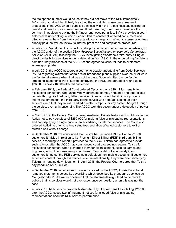their telephone number would be lost if they did not move to the NBN immediately. BVivid also admitted that it likely breached the unsolicited consumer agreement protections in the ACL when it supplied services within the 10 business day cooling-off period and failed to give consumers an official form they could use to terminate the contract. In addition to paying the infringement notice penalties, BVivid provided a court enforceable undertaking in which it committed to contact all affected consumers and offer to release them from their contracts without charge and refund any termination fees already paid, as well as review its internal practices and compliance procedures.

- In July 2019, Vodafone Hutchison Australia provided a court enforceable undertaking to the ACCC under of the section 93AA Australia Securities and Investments Commission Act 2001 (ASIC Act) following the ACCC investigating Vodafone's third-party billing or direct carrier billing services under a delegation from ASIC. In the undertaking, Vodafone admitted likely breaches of the ASIC Act and agreed to issue refunds to customers where appropriate.
- In July 2019, the ACCC accepted a court enforceable undertaking from Dodo Services Pty Ltd regarding claims that certain retail broadband plans supplied over the NBN were 'perfect for streaming' when that was not the case. Dodo admitted the 'perfect for streaming' statements were likely to contravene the ACL and agreed to refund up to \$360 000 across 16 000 affected customers.
- In February 2019, the Federal Court ordered Optus to pay a \$10 million penalty for misleading consumers who unknowingly purchased games, ringtones and other digital content through its third party billing service. Optus admitted that it did not properly inform customers that the third party billing service was a default setting on their accounts, and that they would be billed directly by Optus for any content bought through the service, even unintentionally. The ACCC took this action under a delegation of power from ASIC.
- In March 2019, the Federal Court ordered Australian Private Networks Pty Ltd (trading as Activ8me) to pay penalties of \$250 000 for making false or misleading representations and not displaying a single price when advertising its internet services. The Court also ordered Activ8me offer to refund setup fees and allow affected customers to exit or switch plans without charge.
- In September 2018, we announced that Telstra had refunded \$9.3 million to 72 000 customers it misled in relation to its 'Premium Direct Billing' (PDB) third-party billing service, according to a report it provided to the ACCC. Telstra had agreed to provide such refunds after the ACCC had commenced court proceedings against Telstra for misleading consumers when it charged them for digital content, such as games and ringtones, which they unknowingly purchased. Telstra did not adequately inform customers it had set the PDB service as a default on their mobile accounts. If customers accessed content through this service, even unintentionally, they were billed directly by Telstra. In handing down judgment in April 2018, the Federal Court ordered that Telstra pay penalties of \$10 million.
- In September 2018, in response to concerns raised by the ACCC, Aussie Broadband removed statements across its advertising which described its broadband services as "congestion-free". We were concerned that the statements might lead consumers to believe that its services would not ever experience congestion, when this was not the case.
- In July 2018, NBN service provider MyRepublic Pty Ltd paid penalties totalling \$25 200 after the ACCC issued two infringement notices for alleged false or misleading representations about its NBN service performance.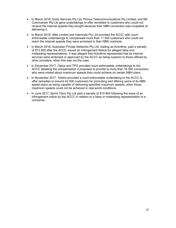- In March 2018, Dodo Services Pty Ltd, Primus Telecommunications Pty Limited, and M2 Commander Pty Ltd gave undertakings to offer remedies to customers who could not receive the internet speeds they bought because their NBN connection was incapable of delivering it.
- In March 2018, iiNet Limited and Internode Pty Ltd provided the ACCC with courtenforceable undertakings to compensate more than 11 000 customers who could not reach the internet speeds they were promised in their NBN contracts.
- In March 2018, Australian Private Networks Pty Ltd, trading as Activ8me, paid a penalty of \$12 600 after the ACCC issued an Infringement Notice for alleged false and misleading representations. It was alleged that Activ8me represented that its internet services were endorsed or approved by the ACCC as being superior to those offered by other providers, when this was not the case.
- In December 2017, Optus and TPG provided court-enforceable undertakings to the ACCC detailing the compensation it proposed to provide to more than 16 000 consumers who were misled about maximum speeds they could achieve on certain NBN plans.
- In November 2017, Telstra provided a court-enforceable undertaking to the ACCC to offer remedies to around 42 000 customers for promoting and offering some of its NBN speed plans as being capable of delivering specified maximum speeds, when those maximum speeds could not be achieved in real-world conditions.
- In June 2017, Sprint Telco Pty Ltd paid a penalty of \$10 800 following the issue of an infringement notice by the ACCC in relation to a false or misleading representation to a consumer.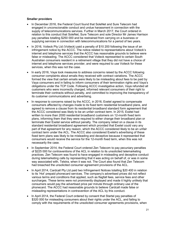#### Smaller providers

- In December 2016, the Federal Court found that SoleNet and Sure Telecom had engaged in unconscionable conduct and undue harassment in connection with the supply of telecommunications services. Further in March 2017, the Court ordered in relation to this conduct that SoleNet, Sure Telecom and sole Director Mr James Harrison pay penalties totalling \$250 000 and be restrained from carrying on a business or supplying services in connection with telecommunications for a period of two years.
- In 2016, Voiteck Pty Ltd (Voiteck) paid a penalty of \$10 200 following the issue of an infringement notice by the ACCC. The notice related to representations about Voiteck's internet and telephone services that the ACCC has reasonable grounds to believe were false or misleading. The ACCC considered that Voiteck represented to certain South Australian consumers resident in a retirement village that they did not have a choice of internet and telephone services provider, and were required to use Voiteck for these services, when this was not the case.
- In early 2016, Vaya took measures to address concerns raised by the ACCC following consumer complaints about emails they received with contract variations. The ACCC formed the view that certain emails were likely to be misleading about fees to be paid by Vaya consumers and in failing to inform consumers of their termination rights and Vaya's obligations under the TCP Code. Following ACCC investigative action, Vaya refunded all customers who were incorrectly charged, informed relevant consumers of their right to terminate their contracts without penalty, and committed to improving the transparency of its customer communications and advertising.
- In response to concerns raised by the ACCC, in 2016, Exetel agreed to compensate consumers affected by changes made to its fixed term residential broadband plans, and agreed to remove a clause from its residential broadband standard form agreement that the ACCC considered was likely to be an unfair contract term. In 2015, Exetel had written to more than 2000 residential broadband customers on 12-month fixed term plans, informing them that they were required to either change their broadband plan or terminate their Exetel service without penalty. The company relied on a clause in its standard residential broadband agreement which provided that Exetel could vary any part of that agreement for any reason, which the ACCC considered likely to be an unfair contract term under the ACL. The ACCC also considered Exetel's advertising of these fixed term plans was likely to be misleading and deceptive because it represented that consumers would receive the service for the 12-month fixed term, when this was not necessarily the case.
- In September 2014, the Federal Court ordered Zen Telecom to pay pecuniary penalties of \$225 000 for contraventions of the ACL in relation to its unsolicited telemarketing practices. Zen Telecom was found to have engaged in misleading and deceptive conduct during telemarketing calls by representing that it was acting on behalf of, or was in some way associated with, Telstra, when it was not. The Court also found that Zen Telecom had breached the unsolicited consumer agreement provisions of the ACL.
- In April 2014, Cardcall Pty Ltd paid two Infringement Notices totalling \$20 400 in relation to its 'Hot' prepaid phonecard services. The company's advertised prices did not reflect various terms and conditions that applied, such as flagfall fees, service fees and other surcharges. These terms were not prominently displayed and made it highly unlikely that consumers would pay the advertised price per minute through ordinary use of the phonecard. The ACCC had reasonable grounds to believe Cardcall made false or misleading representations in contravention of the ACL by this conduct.
- In April 2014, the Federal Court ordered by consent that Startel pay penalties of \$320 000 for misleading consumers about their rights under the ACL, and failing to comply with the requirements of the unsolicited consumer agreements provisions, when